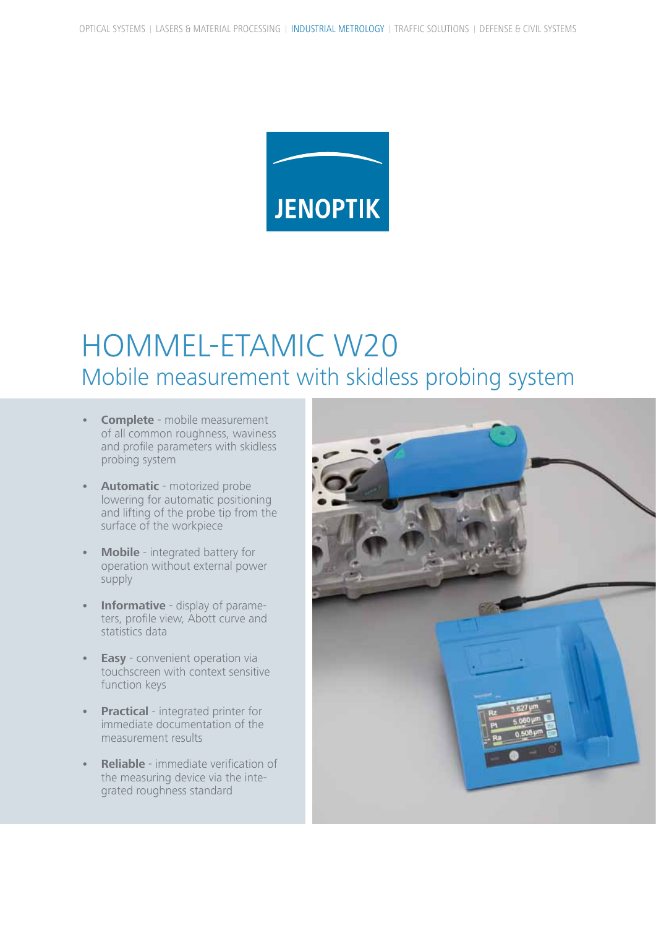

# HOMMEL-ETAMIC W20 Mobile measurement with skidless probing system

- **Complete** mobile measurement of all common roughness, waviness and profile parameters with skidless probing system
- **Automatic** motorized probe lowering for automatic positioning and lifting of the probe tip from the surface of the workpiece
- **Mobile** integrated battery for operation without external power supply
- **Informative** display of parameters, profile view, Abott curve and statistics data
- **Easy** convenient operation via touchscreen with context sensitive function keys
- **• Practical** integrated printer for immediate documentation of the measurement results
- **Reliable** immediate verification of the measuring device via the integrated roughness standard